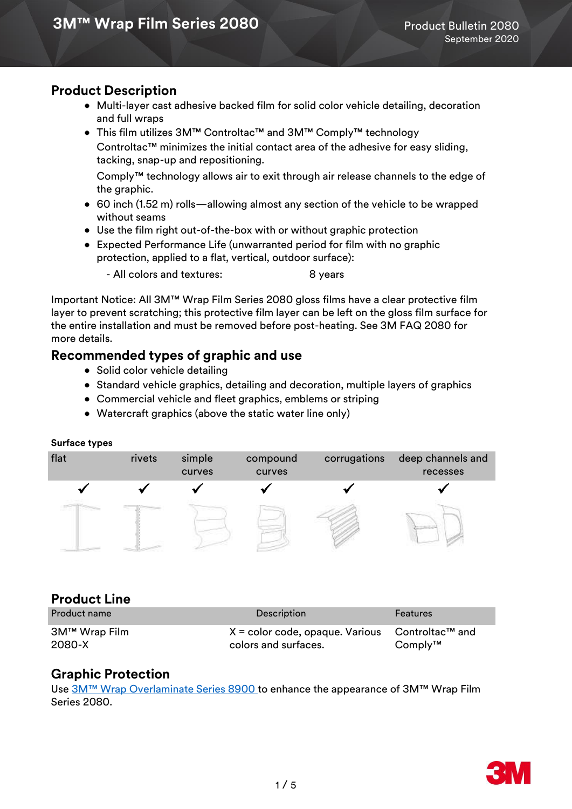## **Product Description**

- Multi-layer cast adhesive backed film for solid color vehicle detailing, decoration and full wraps
- This film utilizes 3M™ Controltac™ and 3M™ Comply™ technology Controltac™ minimizes the initial contact area of the adhesive for easy sliding, tacking, snap-up and repositioning.

 Comply™ technology allows air to exit through air release channels to the edge of the graphic.

- 60 inch (1.52 m) rolls—allowing almost any section of the vehicle to be wrapped without seams
- Use the film right out-of-the-box with or without graphic protection
- Expected Performance Life (unwarranted period for film with no graphic protection, applied to a flat, vertical, outdoor surface):

- All colors and textures: 8 years

Important Notice: All 3M™ Wrap Film Series 2080 gloss films have a clear protective film layer to prevent scratching; this protective film layer can be left on the gloss film surface for the entire installation and must be removed before post-heating. See 3M FAQ 2080 for more details.

### **Recommended types of graphic and use**

- Solid color vehicle detailing
- Standard vehicle graphics, detailing and decoration, multiple layers of graphics
- Commercial vehicle and fleet graphics, emblems or striping
- Watercraft graphics (above the static water line only)

#### **Surface types**

| flat | rivets | simple<br>curves | compound<br>curves | corrugations | deep channels and<br>recesses |
|------|--------|------------------|--------------------|--------------|-------------------------------|
|      |        |                  |                    |              |                               |
|      |        |                  |                    |              |                               |

### **Product Line**

| <b>Product name</b>     | <b>Description</b>                                                                     | <b>Features</b> |
|-------------------------|----------------------------------------------------------------------------------------|-----------------|
| 3M™ Wrap Film<br>2080-X | $X =$ color code, opaque. Various Controltac <sup>TM</sup> and<br>colors and surfaces. | $Comply^{TM}$   |

### **Graphic Protection**

Use [3M™ Wrap Overlaminate Series 8900](http://multimedia.3m.com/mws/media/1114584O/3m-wrap-overlaminate-series-8900.pdf) to enhance the appearance of 3M™ Wrap Film Series 2080.

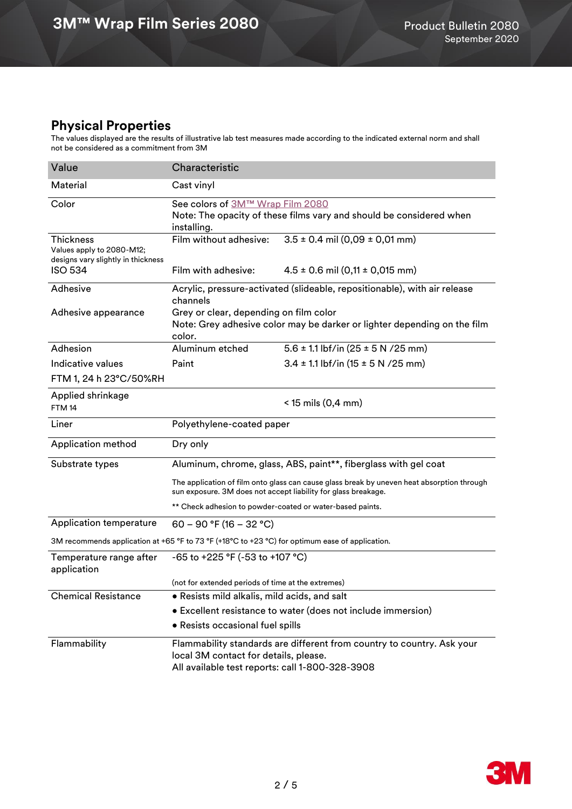## **Physical Properties**

The values displayed are the results of illustrative lab test measures made according to the indicated external norm and shall not be considered as a commitment from 3M

| Value                                                                                            | Characteristic                                                                                                               |                                                                                            |  |  |  |  |
|--------------------------------------------------------------------------------------------------|------------------------------------------------------------------------------------------------------------------------------|--------------------------------------------------------------------------------------------|--|--|--|--|
| Material                                                                                         | Cast vinyl                                                                                                                   |                                                                                            |  |  |  |  |
| Color                                                                                            | See colors of 3M™ Wrap Film 2080<br>Note: The opacity of these films vary and should be considered when<br>installing.       |                                                                                            |  |  |  |  |
| <b>Thickness</b><br>Values apply to 2080-M12;<br>designs vary slightly in thickness              | Film without adhesive:                                                                                                       | $3.5 \pm 0.4$ mil (0,09 $\pm$ 0,01 mm)                                                     |  |  |  |  |
| <b>ISO 534</b>                                                                                   | Film with adhesive:                                                                                                          | $4.5 \pm 0.6$ mil $(0,11 \pm 0,015$ mm)                                                    |  |  |  |  |
| Adhesive                                                                                         | channels                                                                                                                     | Acrylic, pressure-activated (slideable, repositionable), with air release                  |  |  |  |  |
| Adhesive appearance                                                                              | Grey or clear, depending on film color<br>Note: Grey adhesive color may be darker or lighter depending on the film<br>color. |                                                                                            |  |  |  |  |
| Adhesion                                                                                         | Aluminum etched                                                                                                              | $5.6 \pm 1.1$ lbf/in (25 $\pm$ 5 N /25 mm)                                                 |  |  |  |  |
| Indicative values                                                                                | Paint                                                                                                                        | $3.4 \pm 1.1$ lbf/in (15 $\pm$ 5 N /25 mm)                                                 |  |  |  |  |
| FTM 1, 24 h 23°C/50%RH                                                                           |                                                                                                                              |                                                                                            |  |  |  |  |
| Applied shrinkage<br>FTM <sub>14</sub>                                                           | $<$ 15 mils (0,4 mm)                                                                                                         |                                                                                            |  |  |  |  |
| Liner                                                                                            | Polyethylene-coated paper                                                                                                    |                                                                                            |  |  |  |  |
|                                                                                                  |                                                                                                                              |                                                                                            |  |  |  |  |
| Application method                                                                               | Dry only                                                                                                                     |                                                                                            |  |  |  |  |
| Substrate types                                                                                  |                                                                                                                              | Aluminum, chrome, glass, ABS, paint**, fiberglass with gel coat                            |  |  |  |  |
|                                                                                                  | sun exposure. 3M does not accept liability for glass breakage.                                                               | The application of film onto glass can cause glass break by uneven heat absorption through |  |  |  |  |
|                                                                                                  | ** Check adhesion to powder-coated or water-based paints.                                                                    |                                                                                            |  |  |  |  |
| Application temperature                                                                          | 60 - 90 °F (16 - 32 °C)                                                                                                      |                                                                                            |  |  |  |  |
| 3M recommends application at +65 °F to 73 °F (+18 °C to +23 °C) for optimum ease of application. |                                                                                                                              |                                                                                            |  |  |  |  |
| Temperature range after<br>application                                                           | -65 to +225 °F (-53 to +107 °C)                                                                                              |                                                                                            |  |  |  |  |
|                                                                                                  | (not for extended periods of time at the extremes)                                                                           |                                                                                            |  |  |  |  |
| <b>Chemical Resistance</b>                                                                       | . Resists mild alkalis, mild acids, and salt                                                                                 |                                                                                            |  |  |  |  |
|                                                                                                  |                                                                                                                              | • Excellent resistance to water (does not include immersion)                               |  |  |  |  |
|                                                                                                  | • Resists occasional fuel spills                                                                                             |                                                                                            |  |  |  |  |

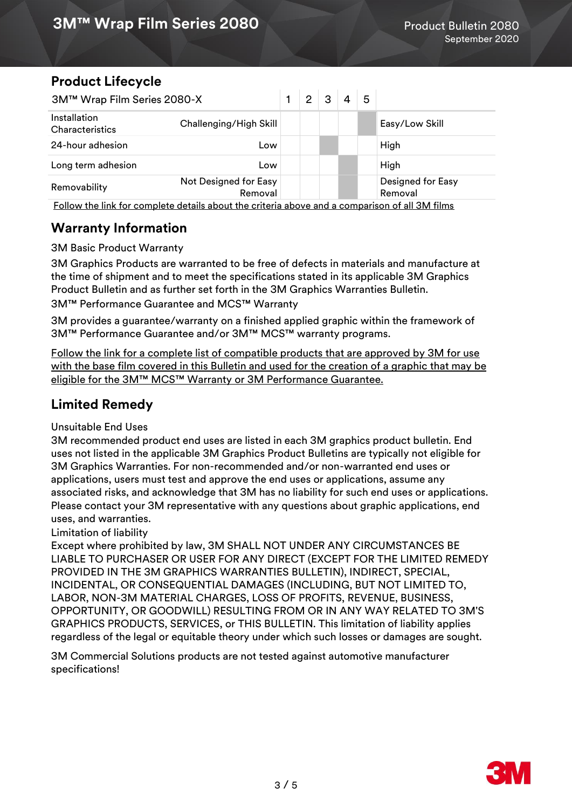# **Product Lifecycle**

| 3M™ Wrap Film Series 2080-X                                                                    |                                  |  | 2 | 3 | 4 | 5 |                              |
|------------------------------------------------------------------------------------------------|----------------------------------|--|---|---|---|---|------------------------------|
| Installation<br><b>Characteristics</b>                                                         | Challenging/High Skill           |  |   |   |   |   | Easy/Low Skill               |
| 24-hour adhesion                                                                               | Low                              |  |   |   |   |   | High                         |
| Long term adhesion                                                                             | Low                              |  |   |   |   |   | High                         |
| Removability                                                                                   | Not Designed for Easy<br>Removal |  |   |   |   |   | Designed for Easy<br>Removal |
| Follow the link for complete details about the criteria above and a comparison of all 3M films |                                  |  |   |   |   |   |                              |

# **Warranty Information**

3M Basic Product Warranty

3M Graphics Products are warranted to be free of defects in materials and manufacture at the time of shipment and to meet the specifications stated in its applicable 3M Graphics Product Bulletin and as further set forth in the 3M Graphics Warranties Bulletin.

3M™ Performance Guarantee and MCS™ Warranty

3M provides a guarantee/warranty on a finished applied graphic within the framework of 3M™ Performance Guarantee and/or 3M™ MCS™ warranty programs.

[Follow the link for a complete list of compatible products that are approved by 3M for use](https://www.3m.com/3M/en_US/graphics-signage-us/resources/warranties/)  [with the base film covered in this Bulletin and used for the creation of a graphic that may be](https://www.3m.com/3M/en_US/graphics-signage-us/resources/warranties/)  eligible for the 3M<sup>™</sup> MCS<sup>™</sup> Warranty or 3M Performance Guarantee.

# **Limited Remedy**

#### Unsuitable End Uses

3M recommended product end uses are listed in each 3M graphics product bulletin. End uses not listed in the applicable 3M Graphics Product Bulletins are typically not eligible for 3M Graphics Warranties. For non-recommended and/or non-warranted end uses or applications, users must test and approve the end uses or applications, assume any associated risks, and acknowledge that 3M has no liability for such end uses or applications. Please contact your 3M representative with any questions about graphic applications, end uses, and warranties.

#### Limitation of liability

Except where prohibited by law, 3M SHALL NOT UNDER ANY CIRCUMSTANCES BE LIABLE TO PURCHASER OR USER FOR ANY DIRECT (EXCEPT FOR THE LIMITED REMEDY PROVIDED IN THE 3M GRAPHICS WARRANTIES BULLETIN), INDIRECT, SPECIAL, INCIDENTAL, OR CONSEQUENTIAL DAMAGES (INCLUDING, BUT NOT LIMITED TO, LABOR, NON-3M MATERIAL CHARGES, LOSS OF PROFITS, REVENUE, BUSINESS, OPPORTUNITY, OR GOODWILL) RESULTING FROM OR IN ANY WAY RELATED TO 3M'S GRAPHICS PRODUCTS, SERVICES, or THIS BULLETIN. This limitation of liability applies regardless of the legal or equitable theory under which such losses or damages are sought.

3M Commercial Solutions products are not tested against automotive manufacturer specifications!

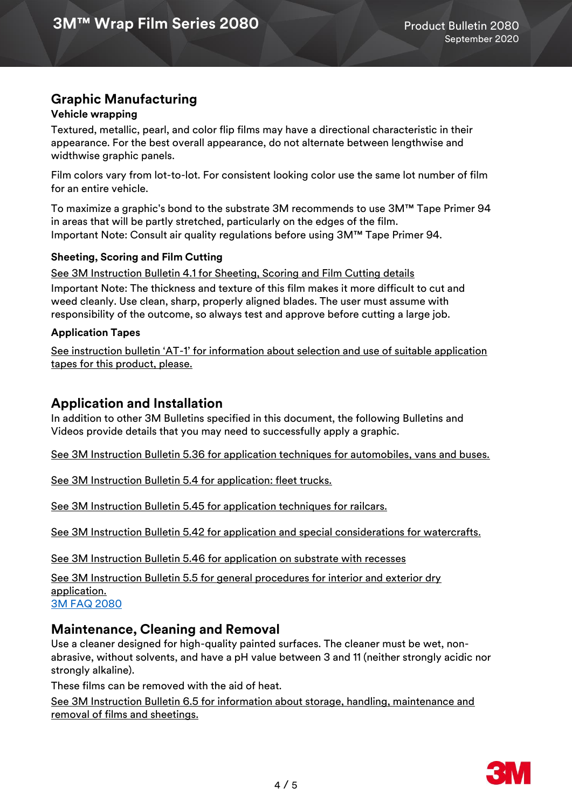# **Graphic Manufacturing**

#### **Vehicle wrapping**

Textured, metallic, pearl, and color flip films may have a directional characteristic in their appearance. For the best overall appearance, do not alternate between lengthwise and widthwise graphic panels.

Film colors vary from lot-to-lot. For consistent looking color use the same lot number of film for an entire vehicle.

To maximize a graphic's bond to the substrate 3M recommends to use 3M™ Tape Primer 94 in areas that will be partly stretched, particularly on the edges of the film. Important Note: Consult air quality regulations before using 3M™ Tape Primer 94.

#### **Sheeting, Scoring and Film Cutting**

Important Note: The thickness and texture of this film makes it more difficult to cut and weed cleanly. Use clean, sharp, properly aligned blades. The user must assume with responsibility of the outcome, so always test and approve before cutting a large job. [See 3M Instruction Bulletin 4.1 for Sheeting, Scoring and Film Cutting details](http://multimedia.3m.com/mws/media/12586O/4-1-scoring-and-cutting.pdf)

#### **Application Tapes**

See instruction bulletin 'AT-[1' for information about selection and use of suitable application](http://multimedia.3m.com/mws/media/1032943O/instruction-bulletin-at-1-application-tables.pdf)  [tapes for this product, please.](http://multimedia.3m.com/mws/media/1032943O/instruction-bulletin-at-1-application-tables.pdf)

### **Application and Installation**

In addition to other 3M Bulletins specified in this document, the following Bulletins and Videos provide details that you may need to successfully apply a graphic.

[See 3M Instruction Bulletin 5.36 for application techniques for automobiles, vans and buses.](http://multimedia.3m.com/mws/media/100373O/5-36-application-techniques-for-automobiles-vans-and-buses.pdf) 

[See 3M Instruction Bulletin 5.4 for application: fleet trucks.](https://multimedia.3m.com/mws/media/12597O/5-4-application-of-film-to-vehicles-special-applications.pdf)

[See 3M Instruction Bulletin 5.45 for application techniques for railcars.](http://multimedia.3m.com/mws/media/576877O/5-45-application-techniques-for-railcars.pdf)

[See 3M Instruction Bulletin 5.42 for application and special considerations for watercrafts.](http://multimedia.3m.com/mws/media/503711O/application-special-considerations-for-watercraft.pdf)

[See 3M Instruction Bulletin 5.46 for application on substrate with recesses](https://multimedia.3m.com/mws/media/1614253O/5-46-application-on-substrates-with-recesses-instruction-bulletin.pdf)

[See 3M Instruction Bulletin 5.5 for general procedures for interior and exterior dry](http://multimedia.3m.com/mws/media/9620O/5-5-application-dry-method.pdf)  [application.](http://multimedia.3m.com/mws/media/9620O/5-5-application-dry-method.pdf) [3M FAQ 2080](https://multimedia.3m.com/mws/media/1813028O/3m-wrap-film-series-2080-faqs-for-wrap-shops.pdf)

### **Maintenance, Cleaning and Removal**

Use a cleaner designed for high-quality painted surfaces. The cleaner must be wet, nonabrasive, without solvents, and have a pH value between 3 and 11 (neither strongly acidic nor strongly alkaline).

These films can be removed with the aid of heat.

[See 3M Instruction Bulletin 6.5 for information about storage, handling, maintenance and](http://multimedia.3m.com/mws/media/12593O/6-5-storage-handling-maintenance-removal-of-films-sheetings.pdf)  [removal of films and sheetings.](http://multimedia.3m.com/mws/media/12593O/6-5-storage-handling-maintenance-removal-of-films-sheetings.pdf)